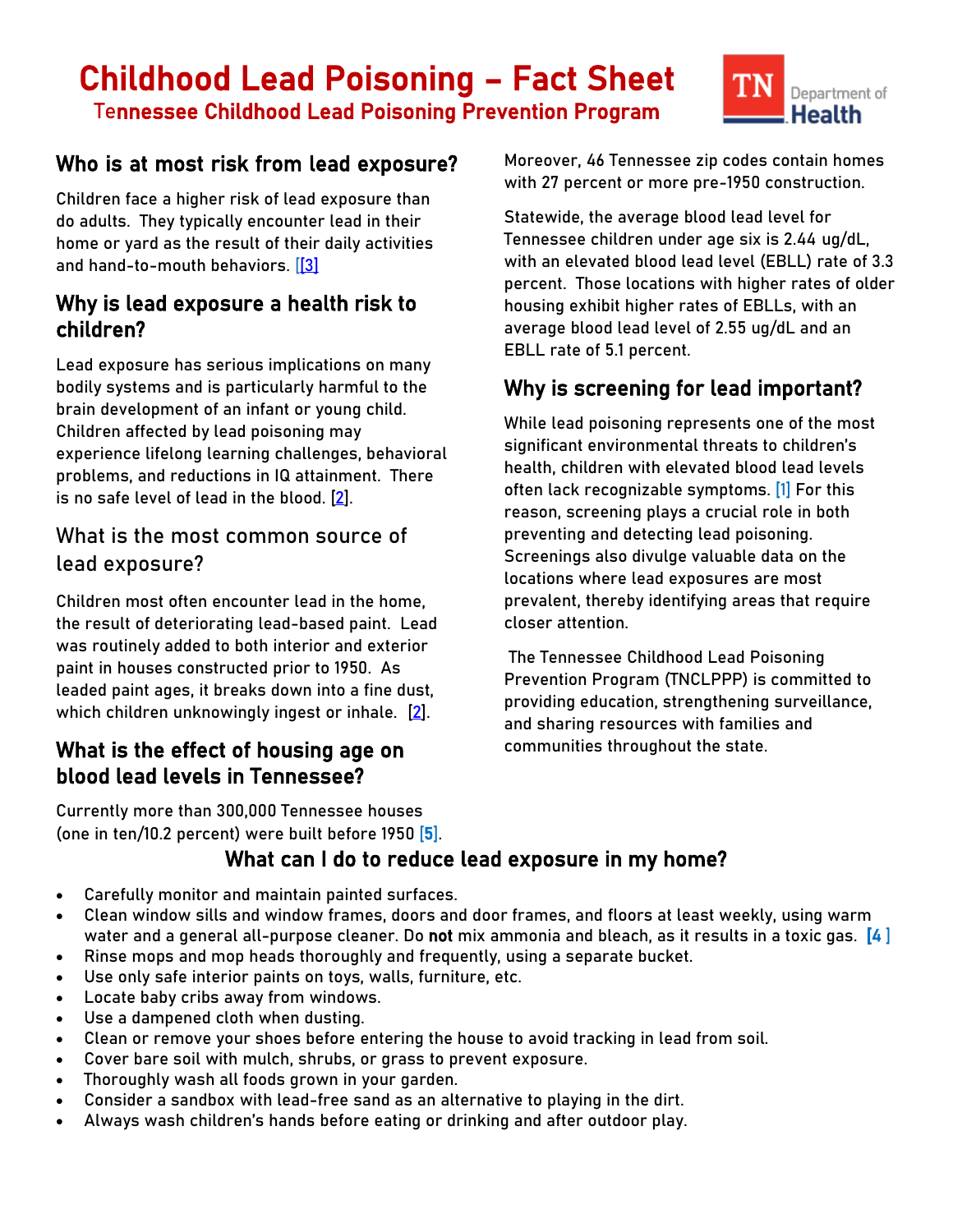# Childhood Lead Poisoning – Fact Sheet Tennessee Childhood Lead Poisoning Prevention Program



## Who is at most risk from lead exposure?

Children face a higher risk of lead exposure than do adults. They typically encounter lead in their home or yard as the result of their daily activities and hand-to-mouth behaviors. [\[\[3\]](#page-2-0)

## Why is lead exposure a health risk to children?

Lead exposure has serious implications on many bodily systems and is particularly harmful to the brain development of an infant or young child. Children affected by lead poisoning may experience lifelong learning challenges, behavioral problems, and reductions in IQ attainment. There is no safe level of lead in the blood.  $[2]$ .

## What is the most common source of lead exposure?

Children most often encounter lead in the home, the result of deteriorating lead-based paint. Lead was routinely added to both interior and exterior paint in houses constructed prior to 1950. As leaded paint ages, it breaks down into a fine dust, which children unknowingly ingest or inhale. [\[2\]](#page-2-1).

## What is the effect of housing age on blood lead levels in Tennessee?

Currently more than 300,000 Tennessee houses (one in ten/10.2 percent) were built before 1950 [5]. Moreover, 46 Tennessee zip codes contain homes with 27 percent or more pre-1950 construction.

Statewide, the average blood lead level for Tennessee children under age six is 2.44 ug/dL, with an elevated blood lead level (EBLL) rate of 3.3 percent. Those locations with higher rates of older housing exhibit higher rates of EBLLs, with an average blood lead level of 2.55 ug/dL and an EBLL rate of 5.1 percent.

## Why is screening for lead important?

While lead poisoning represents one of the most significant environmental threats to children's health, children with elevated blood lead levels often lack recognizable symptoms. [1] For this reason, screening plays a crucial role in both preventing and detecting lead poisoning. Screenings also divulge valuable data on the locations where lead exposures are most prevalent, thereby identifying areas that require closer attention.

The Tennessee Childhood Lead Poisoning Prevention Program (TNCLPPP) is committed to providing education, strengthening surveillance, and sharing resources with families and communities throughout the state.

# What can I do to reduce lead exposure in my home?

- Carefully monitor and maintain painted surfaces.
- Clean window sills and window frames, doors and door frames, and floors at least weekly, using warm water and a general all-purpose cleaner. Do not mix ammonia and bleach, as it results in a toxic gas. [4]
- Rinse mops and mop heads thoroughly and frequently, using a separate bucket.
- Use only safe interior paints on toys, walls, furniture, etc.
- Locate baby cribs away from windows.
- Use a dampened cloth when dusting.
- Clean or remove your shoes before entering the house to avoid tracking in lead from soil.
- Cover bare soil with mulch, shrubs, or grass to prevent exposure.
- Thoroughly wash all foods grown in your garden.
- Consider a sandbox with lead-free sand as an alternative to playing in the dirt.
- Always wash children's hands before eating or drinking and after outdoor play.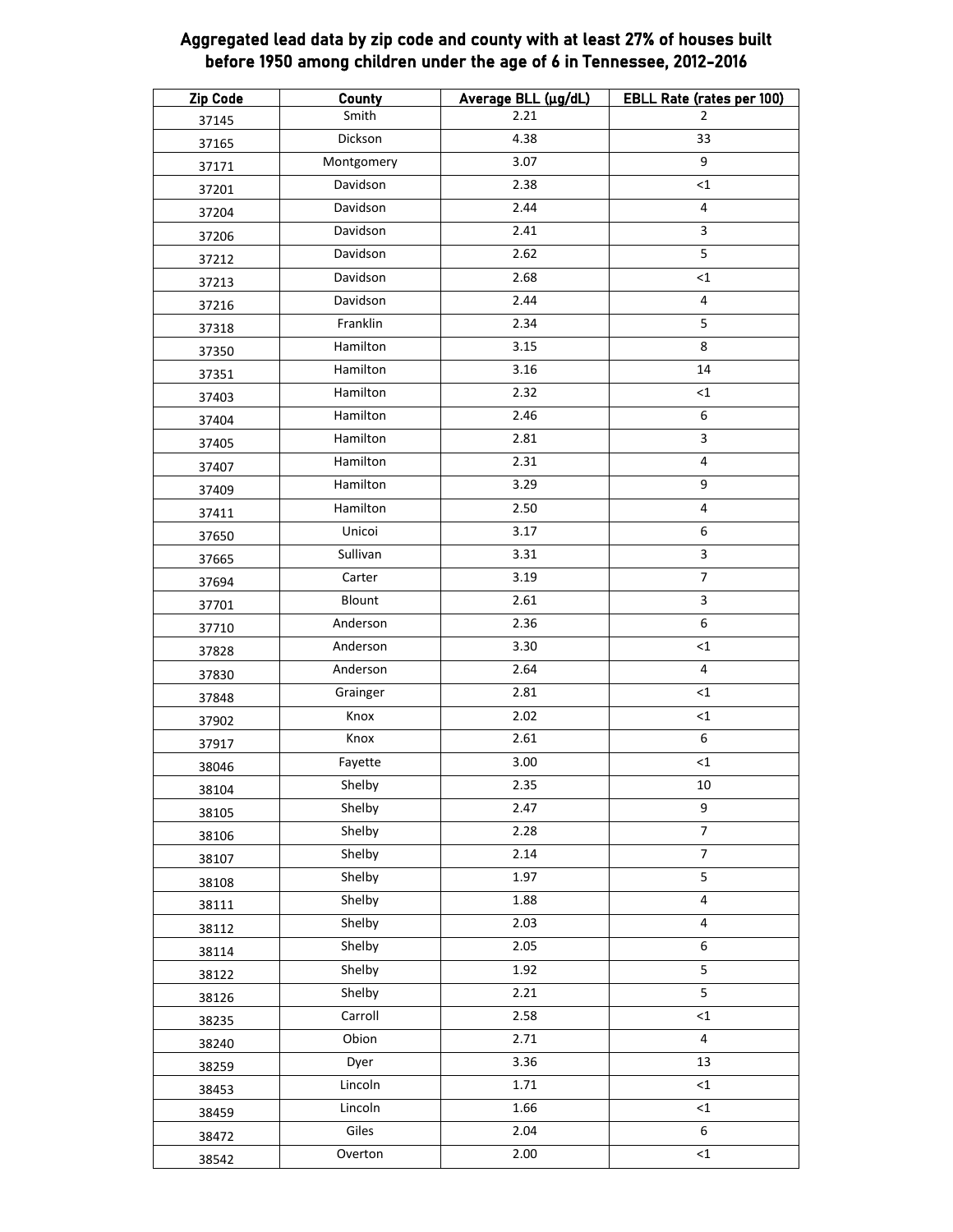### Aggregated lead data by zip code and county with at least 27% of houses built before 1950 among children under the age of 6 in Tennessee, 2012-2016

| <b>Zip Code</b> | <b>County</b> | Average BLL (µg/dL) | <b>EBLL Rate (rates per 100)</b> |
|-----------------|---------------|---------------------|----------------------------------|
| 37145           | Smith         | 2.21                | $\overline{2}$                   |
| 37165           | Dickson       | 4.38                | 33                               |
| 37171           | Montgomery    | 3.07                | 9                                |
| 37201           | Davidson      | 2.38                | <1                               |
| 37204           | Davidson      | 2.44                | $\overline{\mathbf{4}}$          |
| 37206           | Davidson      | 2.41                | $\mathsf{3}$                     |
| 37212           | Davidson      | 2.62                | 5                                |
| 37213           | Davidson      | 2.68                | ${<}1$                           |
| 37216           | Davidson      | 2.44                | $\overline{\mathbf{4}}$          |
| 37318           | Franklin      | 2.34                | 5                                |
| 37350           | Hamilton      | 3.15                | 8                                |
| 37351           | Hamilton      | $3.16$              | 14                               |
| 37403           | Hamilton      | 2.32                | ${<}1$                           |
| 37404           | Hamilton      | 2.46                | 6                                |
| 37405           | Hamilton      | 2.81                | 3                                |
| 37407           | Hamilton      | 2.31                | $\overline{4}$                   |
| 37409           | Hamilton      | 3.29                | 9                                |
| 37411           | Hamilton      | 2.50                | $\overline{\mathbf{4}}$          |
| 37650           | Unicoi        | 3.17                | 6                                |
| 37665           | Sullivan      | 3.31                | $\mathbf{3}$                     |
| 37694           | Carter        | 3.19                | $\overline{7}$                   |
| 37701           | Blount        | 2.61                | $\mathbf{3}$                     |
| 37710           | Anderson      | 2.36                | 6                                |
| 37828           | Anderson      | 3.30                | $<$ 1                            |
| 37830           | Anderson      | 2.64                | 4                                |
| 37848           | Grainger      | 2.81                | ${<}1$                           |
| 37902           | Knox          | 2.02                | $\leq$ 1                         |
| 37917           | Knox          | 2.61                | 6                                |
| 38046           | Fayette       | 3.00                | $\leq$ 1                         |
| 38104           | Shelby        | 2.35                | 10 <sup>1</sup>                  |
| 38105           | Shelby        | 2.47                | 9                                |
| 38106           | Shelby        | 2.28                | $\boldsymbol{7}$                 |
| 38107           | Shelby        | 2.14                | $\overline{\mathcal{I}}$         |
| 38108           | Shelby        | 1.97                | 5                                |
| 38111           | Shelby        | 1.88                | $\pmb{4}$                        |
| 38112           | Shelby        | 2.03                | 4                                |
| 38114           | Shelby        | 2.05                | 6                                |
| 38122           | Shelby        | 1.92                | 5                                |
| 38126           | Shelby        | 2.21                | $\overline{5}$                   |
| 38235           | Carroll       | 2.58                | ${<}1$                           |
| 38240           | Obion         | 2.71                | 4                                |
| 38259           | Dyer          | 3.36                | 13                               |
| 38453           | Lincoln       | 1.71                | $<$ 1                            |
| 38459           | Lincoln       | 1.66                | ${<}1$                           |
| 38472           | Giles         | 2.04                | 6                                |
| 38542           | Overton       | 2.00                | ${<}1$                           |